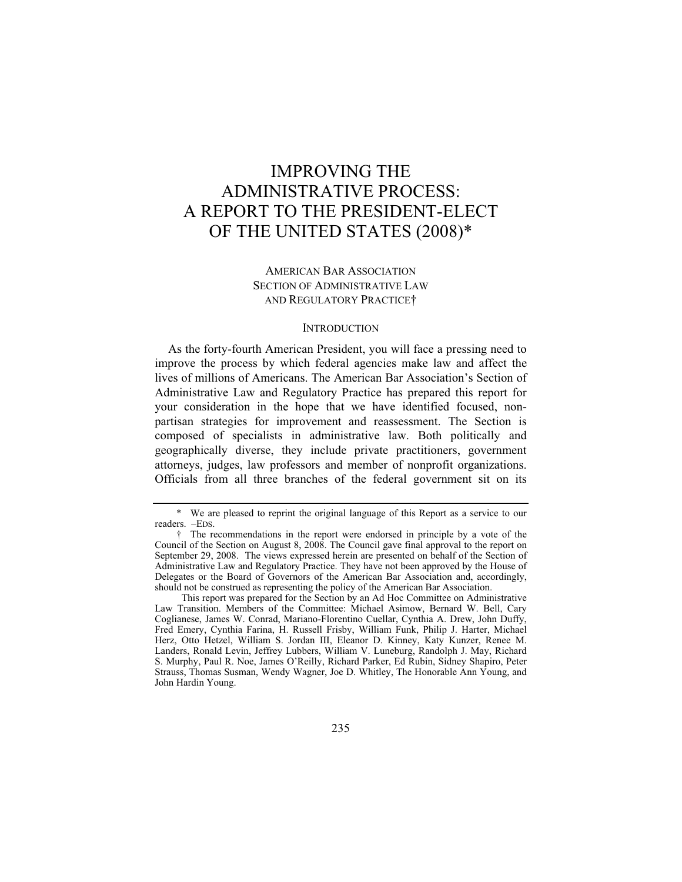# IMPROVING THE ADMINISTRATIVE PROCESS: A REPORT TO THE PRESIDENT-ELECT OF THE UNITED STATES (2008)\*

# AMERICAN BAR ASSOCIATION SECTION OF ADMINISTRATIVE LAW AND REGULATORY PRACTICE†

#### **INTRODUCTION**

As the forty-fourth American President, you will face a pressing need to improve the process by which federal agencies make law and affect the lives of millions of Americans. The American Bar Association's Section of Administrative Law and Regulatory Practice has prepared this report for your consideration in the hope that we have identified focused, nonpartisan strategies for improvement and reassessment. The Section is composed of specialists in administrative law. Both politically and geographically diverse, they include private practitioners, government attorneys, judges, law professors and member of nonprofit organizations. Officials from all three branches of the federal government sit on its

 <sup>\*</sup> We are pleased to reprint the original language of this Report as a service to our readers. –EDS.

 <sup>†</sup> The recommendations in the report were endorsed in principle by a vote of the Council of the Section on August 8, 2008. The Council gave final approval to the report on September 29, 2008. The views expressed herein are presented on behalf of the Section of Administrative Law and Regulatory Practice. They have not been approved by the House of Delegates or the Board of Governors of the American Bar Association and, accordingly, should not be construed as representing the policy of the American Bar Association.

This report was prepared for the Section by an Ad Hoc Committee on Administrative Law Transition. Members of the Committee: Michael Asimow, Bernard W. Bell, Cary Coglianese, James W. Conrad, Mariano-Florentino Cuellar, Cynthia A. Drew, John Duffy, Fred Emery, Cynthia Farina, H. Russell Frisby, William Funk, Philip J. Harter, Michael Herz, Otto Hetzel, William S. Jordan III, Eleanor D. Kinney, Katy Kunzer, Renee M. Landers, Ronald Levin, Jeffrey Lubbers, William V. Luneburg, Randolph J. May, Richard S. Murphy, Paul R. Noe, James O'Reilly, Richard Parker, Ed Rubin, Sidney Shapiro, Peter Strauss, Thomas Susman, Wendy Wagner, Joe D. Whitley, The Honorable Ann Young, and John Hardin Young.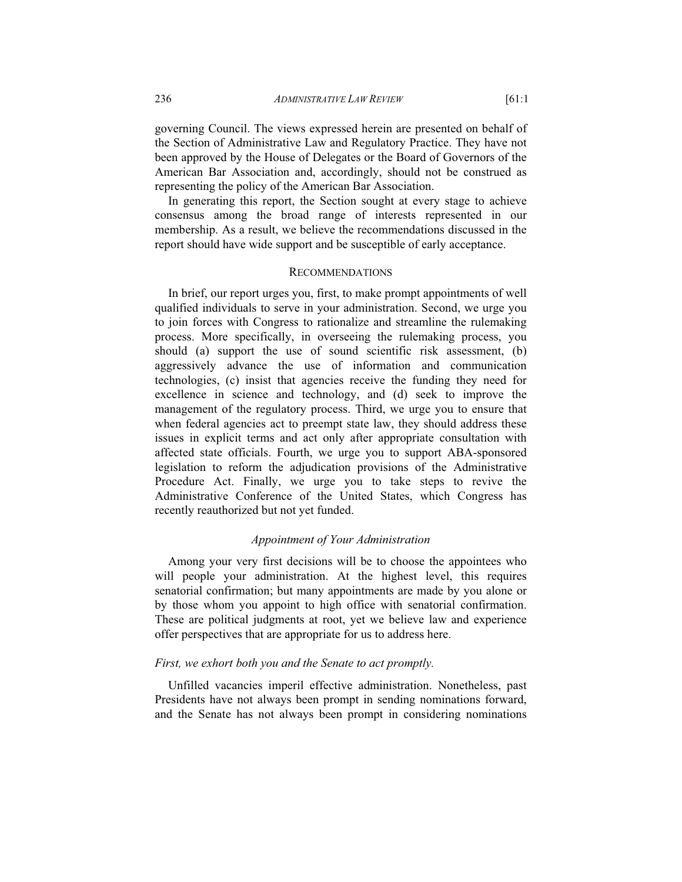governing Council. The views expressed herein are presented on behalf of the Section of Administrative Law and Regulatory Practice. They have not been approved by the House of Delegates or the Board of Governors of the American Bar Association and, accordingly, should not be construed as representing the policy of the American Bar Association.

In generating this report, the Section sought at every stage to achieve consensus among the broad range of interests represented in our membership. As a result, we believe the recommendations discussed in the report should have wide support and be susceptible of early acceptance.

#### RECOMMENDATIONS

In brief, our report urges you, first, to make prompt appointments of well qualified individuals to serve in your administration. Second, we urge you to join forces with Congress to rationalize and streamline the rulemaking process. More specifically, in overseeing the rulemaking process, you should (a) support the use of sound scientific risk assessment, (b) aggressively advance the use of information and communication technologies, (c) insist that agencies receive the funding they need for excellence in science and technology, and (d) seek to improve the management of the regulatory process. Third, we urge you to ensure that when federal agencies act to preempt state law, they should address these issues in explicit terms and act only after appropriate consultation with affected state officials. Fourth, we urge you to support ABA-sponsored legislation to reform the adjudication provisions of the Administrative Procedure Act. Finally, we urge you to take steps to revive the Administrative Conference of the United States, which Congress has recently reauthorized but not yet funded.

#### *Appointment of Your Administration*

Among your very first decisions will be to choose the appointees who will people your administration. At the highest level, this requires senatorial confirmation; but many appointments are made by you alone or by those whom you appoint to high office with senatorial confirmation. These are political judgments at root, yet we believe law and experience offer perspectives that are appropriate for us to address here.

#### *First, we exhort both you and the Senate to act promptly.*

Unfilled vacancies imperil effective administration. Nonetheless, past Presidents have not always been prompt in sending nominations forward, and the Senate has not always been prompt in considering nominations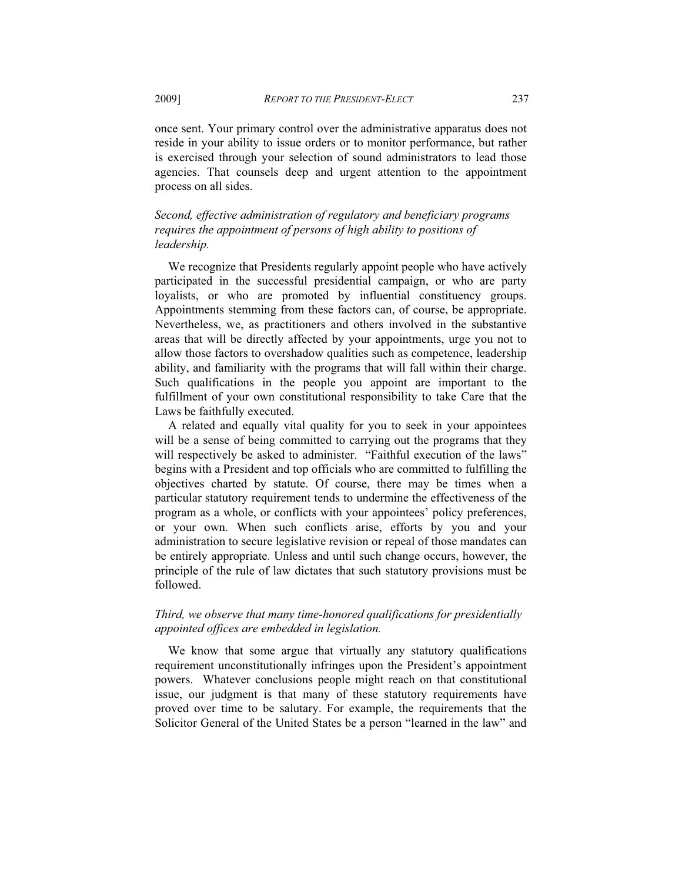once sent. Your primary control over the administrative apparatus does not reside in your ability to issue orders or to monitor performance, but rather is exercised through your selection of sound administrators to lead those agencies. That counsels deep and urgent attention to the appointment process on all sides.

*Second, effective administration of regulatory and beneficiary programs requires the appointment of persons of high ability to positions of leadership.*

We recognize that Presidents regularly appoint people who have actively participated in the successful presidential campaign, or who are party loyalists, or who are promoted by influential constituency groups. Appointments stemming from these factors can, of course, be appropriate. Nevertheless, we, as practitioners and others involved in the substantive areas that will be directly affected by your appointments, urge you not to allow those factors to overshadow qualities such as competence, leadership ability, and familiarity with the programs that will fall within their charge. Such qualifications in the people you appoint are important to the fulfillment of your own constitutional responsibility to take Care that the Laws be faithfully executed.

A related and equally vital quality for you to seek in your appointees will be a sense of being committed to carrying out the programs that they will respectively be asked to administer. "Faithful execution of the laws" begins with a President and top officials who are committed to fulfilling the objectives charted by statute. Of course, there may be times when a particular statutory requirement tends to undermine the effectiveness of the program as a whole, or conflicts with your appointees' policy preferences, or your own. When such conflicts arise, efforts by you and your administration to secure legislative revision or repeal of those mandates can be entirely appropriate. Unless and until such change occurs, however, the principle of the rule of law dictates that such statutory provisions must be followed.

## *Third, we observe that many time-honored qualifications for presidentially appointed offices are embedded in legislation.*

We know that some argue that virtually any statutory qualifications requirement unconstitutionally infringes upon the President's appointment powers. Whatever conclusions people might reach on that constitutional issue, our judgment is that many of these statutory requirements have proved over time to be salutary. For example, the requirements that the Solicitor General of the United States be a person "learned in the law" and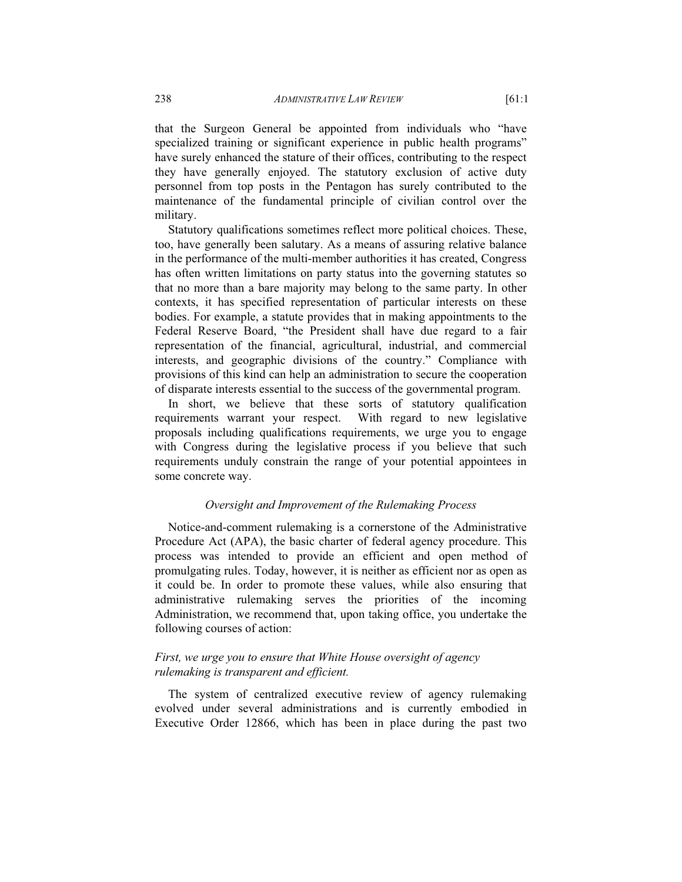that the Surgeon General be appointed from individuals who "have specialized training or significant experience in public health programs" have surely enhanced the stature of their offices, contributing to the respect they have generally enjoyed. The statutory exclusion of active duty personnel from top posts in the Pentagon has surely contributed to the maintenance of the fundamental principle of civilian control over the military.

Statutory qualifications sometimes reflect more political choices. These, too, have generally been salutary. As a means of assuring relative balance in the performance of the multi-member authorities it has created, Congress has often written limitations on party status into the governing statutes so that no more than a bare majority may belong to the same party. In other contexts, it has specified representation of particular interests on these bodies. For example, a statute provides that in making appointments to the Federal Reserve Board, "the President shall have due regard to a fair representation of the financial, agricultural, industrial, and commercial interests, and geographic divisions of the country." Compliance with provisions of this kind can help an administration to secure the cooperation of disparate interests essential to the success of the governmental program.

In short, we believe that these sorts of statutory qualification requirements warrant your respect. With regard to new legislative proposals including qualifications requirements, we urge you to engage with Congress during the legislative process if you believe that such requirements unduly constrain the range of your potential appointees in some concrete way.

### *Oversight and Improvement of the Rulemaking Process*

Notice-and-comment rulemaking is a cornerstone of the Administrative Procedure Act (APA), the basic charter of federal agency procedure. This process was intended to provide an efficient and open method of promulgating rules. Today, however, it is neither as efficient nor as open as it could be. In order to promote these values, while also ensuring that administrative rulemaking serves the priorities of the incoming Administration, we recommend that, upon taking office, you undertake the following courses of action:

## *First, we urge you to ensure that White House oversight of agency rulemaking is transparent and efficient.*

The system of centralized executive review of agency rulemaking evolved under several administrations and is currently embodied in Executive Order 12866, which has been in place during the past two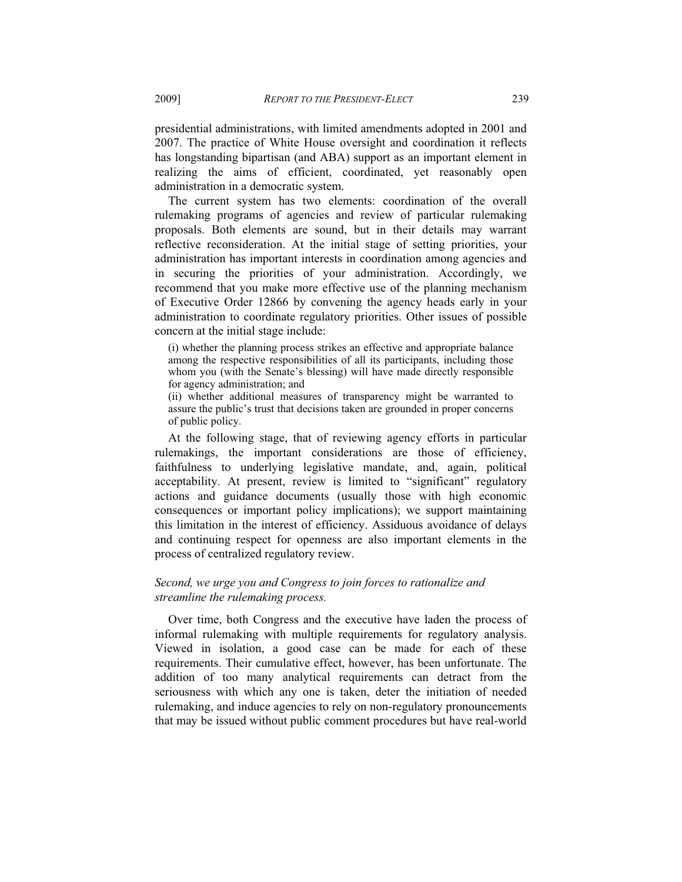presidential administrations, with limited amendments adopted in 2001 and 2007. The practice of White House oversight and coordination it reflects has longstanding bipartisan (and ABA) support as an important element in realizing the aims of efficient, coordinated, yet reasonably open administration in a democratic system.

The current system has two elements: coordination of the overall rulemaking programs of agencies and review of particular rulemaking proposals. Both elements are sound, but in their details may warrant reflective reconsideration. At the initial stage of setting priorities, your administration has important interests in coordination among agencies and in securing the priorities of your administration. Accordingly, we recommend that you make more effective use of the planning mechanism of Executive Order 12866 by convening the agency heads early in your administration to coordinate regulatory priorities. Other issues of possible concern at the initial stage include:

(i) whether the planning process strikes an effective and appropriate balance among the respective responsibilities of all its participants, including those whom you (with the Senate's blessing) will have made directly responsible for agency administration; and

(ii) whether additional measures of transparency might be warranted to assure the public's trust that decisions taken are grounded in proper concerns of public policy.

At the following stage, that of reviewing agency efforts in particular rulemakings, the important considerations are those of efficiency, faithfulness to underlying legislative mandate, and, again, political acceptability. At present, review is limited to "significant" regulatory actions and guidance documents (usually those with high economic consequences or important policy implications); we support maintaining this limitation in the interest of efficiency. Assiduous avoidance of delays and continuing respect for openness are also important elements in the process of centralized regulatory review.

## *Second, we urge you and Congress to join forces to rationalize and streamline the rulemaking process.*

Over time, both Congress and the executive have laden the process of informal rulemaking with multiple requirements for regulatory analysis. Viewed in isolation, a good case can be made for each of these requirements. Their cumulative effect, however, has been unfortunate. The addition of too many analytical requirements can detract from the seriousness with which any one is taken, deter the initiation of needed rulemaking, and induce agencies to rely on non-regulatory pronouncements that may be issued without public comment procedures but have real-world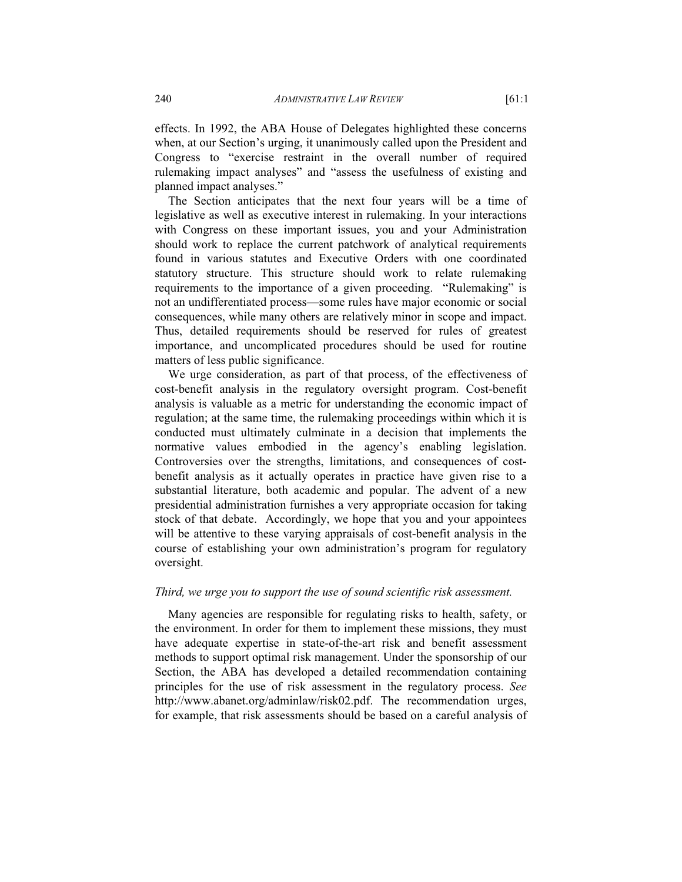effects. In 1992, the ABA House of Delegates highlighted these concerns when, at our Section's urging, it unanimously called upon the President and Congress to "exercise restraint in the overall number of required rulemaking impact analyses" and "assess the usefulness of existing and planned impact analyses."

The Section anticipates that the next four years will be a time of legislative as well as executive interest in rulemaking. In your interactions with Congress on these important issues, you and your Administration should work to replace the current patchwork of analytical requirements found in various statutes and Executive Orders with one coordinated statutory structure. This structure should work to relate rulemaking requirements to the importance of a given proceeding. "Rulemaking" is not an undifferentiated process—some rules have major economic or social consequences, while many others are relatively minor in scope and impact. Thus, detailed requirements should be reserved for rules of greatest importance, and uncomplicated procedures should be used for routine matters of less public significance.

We urge consideration, as part of that process, of the effectiveness of cost-benefit analysis in the regulatory oversight program. Cost-benefit analysis is valuable as a metric for understanding the economic impact of regulation; at the same time, the rulemaking proceedings within which it is conducted must ultimately culminate in a decision that implements the normative values embodied in the agency's enabling legislation. Controversies over the strengths, limitations, and consequences of costbenefit analysis as it actually operates in practice have given rise to a substantial literature, both academic and popular. The advent of a new presidential administration furnishes a very appropriate occasion for taking stock of that debate. Accordingly, we hope that you and your appointees will be attentive to these varying appraisals of cost-benefit analysis in the course of establishing your own administration's program for regulatory oversight.

#### *Third, we urge you to support the use of sound scientific risk assessment.*

Many agencies are responsible for regulating risks to health, safety, or the environment. In order for them to implement these missions, they must have adequate expertise in state-of-the-art risk and benefit assessment methods to support optimal risk management. Under the sponsorship of our Section, the ABA has developed a detailed recommendation containing principles for the use of risk assessment in the regulatory process. *See* http://www.abanet.org/adminlaw/risk02.pdf. The recommendation urges, for example, that risk assessments should be based on a careful analysis of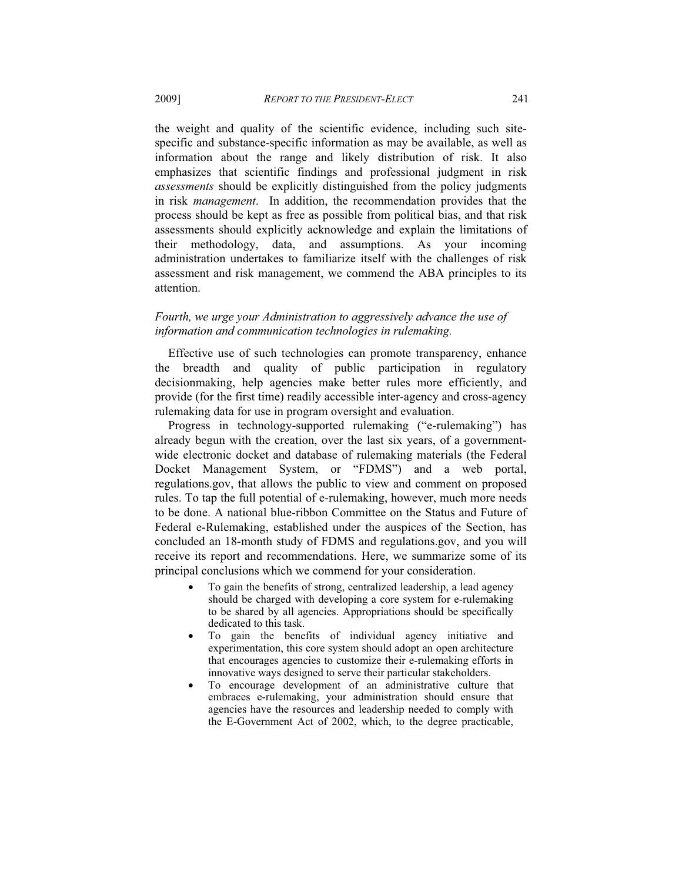the weight and quality of the scientific evidence, including such sitespecific and substance-specific information as may be available, as well as information about the range and likely distribution of risk. It also emphasizes that scientific findings and professional judgment in risk *assessments* should be explicitly distinguished from the policy judgments in risk *management*. In addition, the recommendation provides that the process should be kept as free as possible from political bias, and that risk assessments should explicitly acknowledge and explain the limitations of their methodology, data, and assumptions. As your incoming administration undertakes to familiarize itself with the challenges of risk assessment and risk management, we commend the ABA principles to its attention.

### *Fourth, we urge your Administration to aggressively advance the use of information and communication technologies in rulemaking.*

Effective use of such technologies can promote transparency, enhance the breadth and quality of public participation in regulatory decisionmaking, help agencies make better rules more efficiently, and provide (for the first time) readily accessible inter-agency and cross-agency rulemaking data for use in program oversight and evaluation.

Progress in technology-supported rulemaking ("e-rulemaking") has already begun with the creation, over the last six years, of a governmentwide electronic docket and database of rulemaking materials (the Federal Docket Management System, or "FDMS") and a web portal, regulations.gov, that allows the public to view and comment on proposed rules. To tap the full potential of e-rulemaking, however, much more needs to be done. A national blue-ribbon Committee on the Status and Future of Federal e-Rulemaking, established under the auspices of the Section, has concluded an 18-month study of FDMS and regulations.gov, and you will receive its report and recommendations. Here, we summarize some of its principal conclusions which we commend for your consideration.

- To gain the benefits of strong, centralized leadership, a lead agency should be charged with developing a core system for e-rulemaking to be shared by all agencies. Appropriations should be specifically dedicated to this task.
- To gain the benefits of individual agency initiative and experimentation, this core system should adopt an open architecture that encourages agencies to customize their e-rulemaking efforts in innovative ways designed to serve their particular stakeholders.
- To encourage development of an administrative culture that embraces e-rulemaking, your administration should ensure that agencies have the resources and leadership needed to comply with the E-Government Act of 2002, which, to the degree practicable,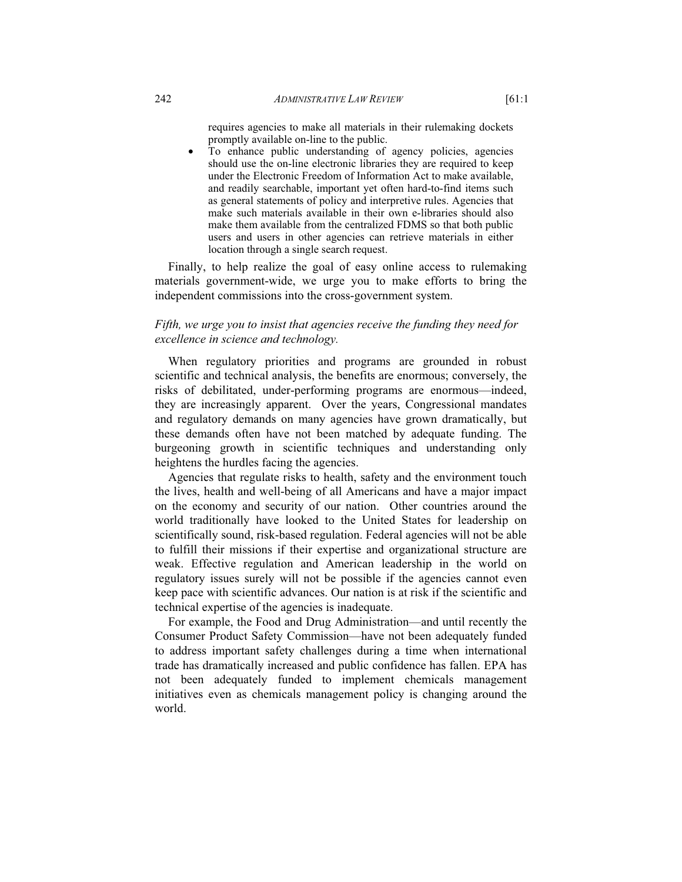requires agencies to make all materials in their rulemaking dockets promptly available on-line to the public.

To enhance public understanding of agency policies, agencies should use the on-line electronic libraries they are required to keep under the Electronic Freedom of Information Act to make available, and readily searchable, important yet often hard-to-find items such as general statements of policy and interpretive rules. Agencies that make such materials available in their own e-libraries should also make them available from the centralized FDMS so that both public users and users in other agencies can retrieve materials in either location through a single search request.

Finally, to help realize the goal of easy online access to rulemaking materials government-wide, we urge you to make efforts to bring the independent commissions into the cross-government system.

## *Fifth, we urge you to insist that agencies receive the funding they need for excellence in science and technology.*

When regulatory priorities and programs are grounded in robust scientific and technical analysis, the benefits are enormous; conversely, the risks of debilitated, under-performing programs are enormous—indeed, they are increasingly apparent. Over the years, Congressional mandates and regulatory demands on many agencies have grown dramatically, but these demands often have not been matched by adequate funding. The burgeoning growth in scientific techniques and understanding only heightens the hurdles facing the agencies.

Agencies that regulate risks to health, safety and the environment touch the lives, health and well-being of all Americans and have a major impact on the economy and security of our nation. Other countries around the world traditionally have looked to the United States for leadership on scientifically sound, risk-based regulation. Federal agencies will not be able to fulfill their missions if their expertise and organizational structure are weak. Effective regulation and American leadership in the world on regulatory issues surely will not be possible if the agencies cannot even keep pace with scientific advances. Our nation is at risk if the scientific and technical expertise of the agencies is inadequate.

For example, the Food and Drug Administration—and until recently the Consumer Product Safety Commission—have not been adequately funded to address important safety challenges during a time when international trade has dramatically increased and public confidence has fallen. EPA has not been adequately funded to implement chemicals management initiatives even as chemicals management policy is changing around the world.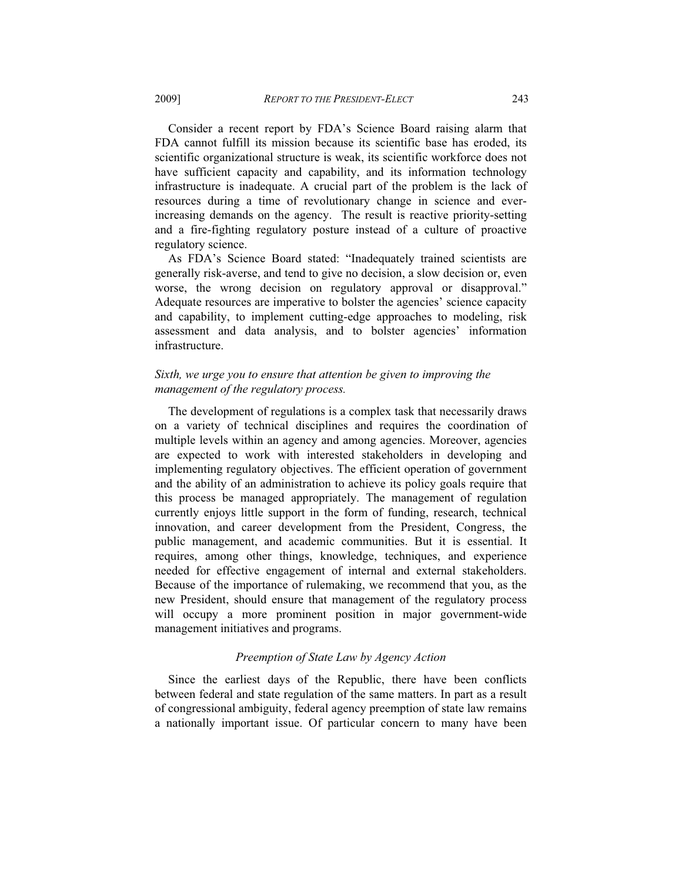Consider a recent report by FDA's Science Board raising alarm that FDA cannot fulfill its mission because its scientific base has eroded, its scientific organizational structure is weak, its scientific workforce does not have sufficient capacity and capability, and its information technology infrastructure is inadequate. A crucial part of the problem is the lack of resources during a time of revolutionary change in science and everincreasing demands on the agency. The result is reactive priority-setting and a fire-fighting regulatory posture instead of a culture of proactive regulatory science.

As FDA's Science Board stated: "Inadequately trained scientists are generally risk-averse, and tend to give no decision, a slow decision or, even worse, the wrong decision on regulatory approval or disapproval." Adequate resources are imperative to bolster the agencies' science capacity and capability, to implement cutting-edge approaches to modeling, risk assessment and data analysis, and to bolster agencies' information infrastructure.

## *Sixth, we urge you to ensure that attention be given to improving the management of the regulatory process.*

The development of regulations is a complex task that necessarily draws on a variety of technical disciplines and requires the coordination of multiple levels within an agency and among agencies. Moreover, agencies are expected to work with interested stakeholders in developing and implementing regulatory objectives. The efficient operation of government and the ability of an administration to achieve its policy goals require that this process be managed appropriately. The management of regulation currently enjoys little support in the form of funding, research, technical innovation, and career development from the President, Congress, the public management, and academic communities. But it is essential. It requires, among other things, knowledge, techniques, and experience needed for effective engagement of internal and external stakeholders. Because of the importance of rulemaking, we recommend that you, as the new President, should ensure that management of the regulatory process will occupy a more prominent position in major government-wide management initiatives and programs.

#### *Preemption of State Law by Agency Action*

Since the earliest days of the Republic, there have been conflicts between federal and state regulation of the same matters. In part as a result of congressional ambiguity, federal agency preemption of state law remains a nationally important issue. Of particular concern to many have been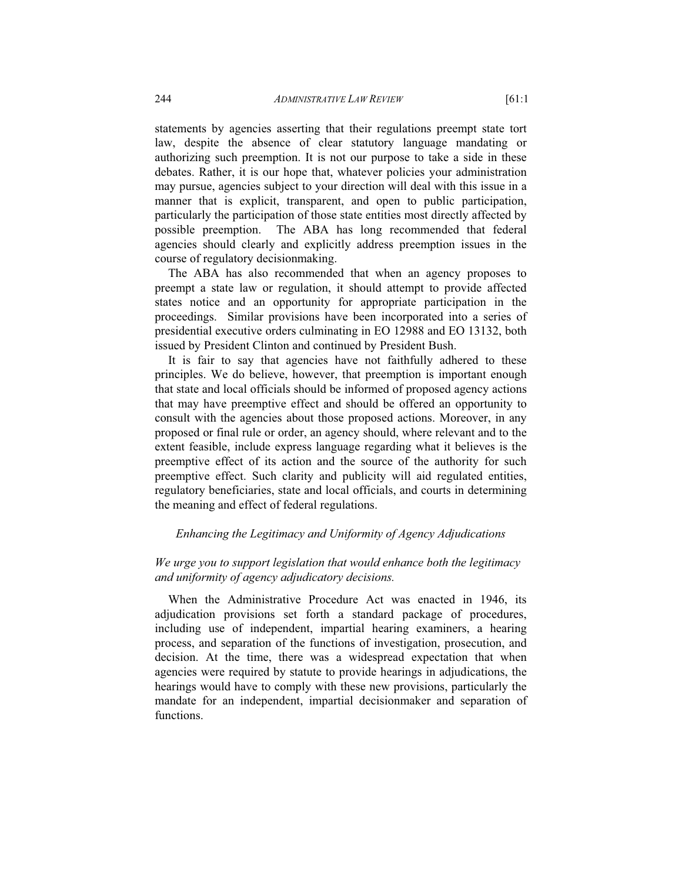statements by agencies asserting that their regulations preempt state tort law, despite the absence of clear statutory language mandating or authorizing such preemption. It is not our purpose to take a side in these debates. Rather, it is our hope that, whatever policies your administration may pursue, agencies subject to your direction will deal with this issue in a manner that is explicit, transparent, and open to public participation, particularly the participation of those state entities most directly affected by possible preemption. The ABA has long recommended that federal agencies should clearly and explicitly address preemption issues in the course of regulatory decisionmaking.

The ABA has also recommended that when an agency proposes to preempt a state law or regulation, it should attempt to provide affected states notice and an opportunity for appropriate participation in the proceedings. Similar provisions have been incorporated into a series of presidential executive orders culminating in EO 12988 and EO 13132, both issued by President Clinton and continued by President Bush.

It is fair to say that agencies have not faithfully adhered to these principles. We do believe, however, that preemption is important enough that state and local officials should be informed of proposed agency actions that may have preemptive effect and should be offered an opportunity to consult with the agencies about those proposed actions. Moreover, in any proposed or final rule or order, an agency should, where relevant and to the extent feasible, include express language regarding what it believes is the preemptive effect of its action and the source of the authority for such preemptive effect. Such clarity and publicity will aid regulated entities, regulatory beneficiaries, state and local officials, and courts in determining the meaning and effect of federal regulations.

### *Enhancing the Legitimacy and Uniformity of Agency Adjudications*

## *We urge you to support legislation that would enhance both the legitimacy and uniformity of agency adjudicatory decisions.*

When the Administrative Procedure Act was enacted in 1946, its adjudication provisions set forth a standard package of procedures, including use of independent, impartial hearing examiners, a hearing process, and separation of the functions of investigation, prosecution, and decision. At the time, there was a widespread expectation that when agencies were required by statute to provide hearings in adjudications, the hearings would have to comply with these new provisions, particularly the mandate for an independent, impartial decisionmaker and separation of functions.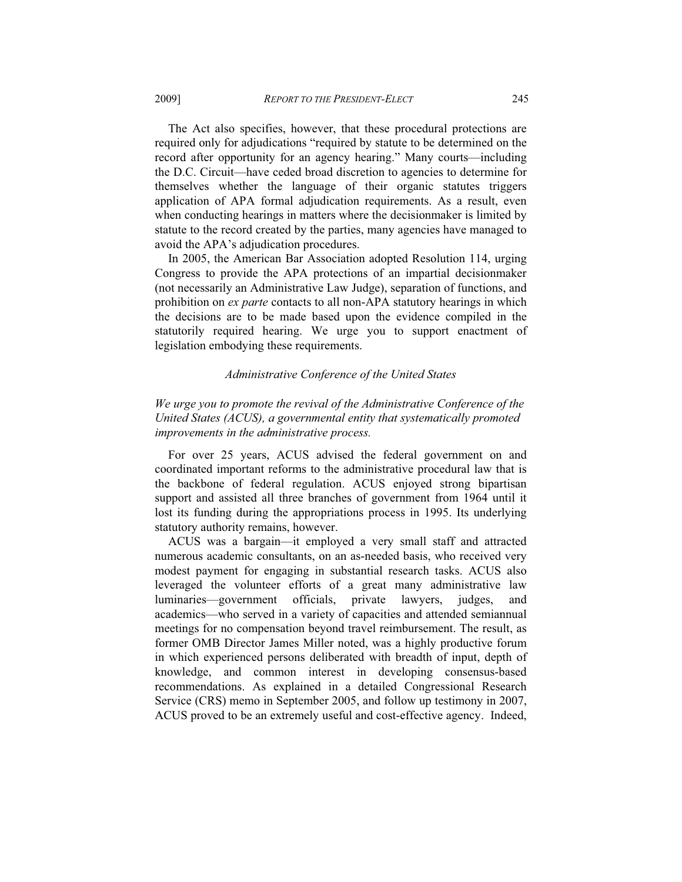The Act also specifies, however, that these procedural protections are required only for adjudications "required by statute to be determined on the record after opportunity for an agency hearing." Many courts—including the D.C. Circuit—have ceded broad discretion to agencies to determine for themselves whether the language of their organic statutes triggers application of APA formal adjudication requirements. As a result, even when conducting hearings in matters where the decisionmaker is limited by statute to the record created by the parties, many agencies have managed to avoid the APA's adjudication procedures.

In 2005, the American Bar Association adopted Resolution 114, urging Congress to provide the APA protections of an impartial decisionmaker (not necessarily an Administrative Law Judge), separation of functions, and prohibition on *ex parte* contacts to all non-APA statutory hearings in which the decisions are to be made based upon the evidence compiled in the statutorily required hearing. We urge you to support enactment of legislation embodying these requirements.

## *Administrative Conference of the United States*

# *We urge you to promote the revival of the Administrative Conference of the United States (ACUS), a governmental entity that systematically promoted improvements in the administrative process.*

For over 25 years, ACUS advised the federal government on and coordinated important reforms to the administrative procedural law that is the backbone of federal regulation. ACUS enjoyed strong bipartisan support and assisted all three branches of government from 1964 until it lost its funding during the appropriations process in 1995. Its underlying statutory authority remains, however.

ACUS was a bargain—it employed a very small staff and attracted numerous academic consultants, on an as-needed basis, who received very modest payment for engaging in substantial research tasks. ACUS also leveraged the volunteer efforts of a great many administrative law luminaries—government officials, private lawyers, judges, and academics—who served in a variety of capacities and attended semiannual meetings for no compensation beyond travel reimbursement. The result, as former OMB Director James Miller noted, was a highly productive forum in which experienced persons deliberated with breadth of input, depth of knowledge, and common interest in developing consensus-based recommendations. As explained in a detailed Congressional Research Service (CRS) memo in September 2005, and follow up testimony in 2007, ACUS proved to be an extremely useful and cost-effective agency. Indeed,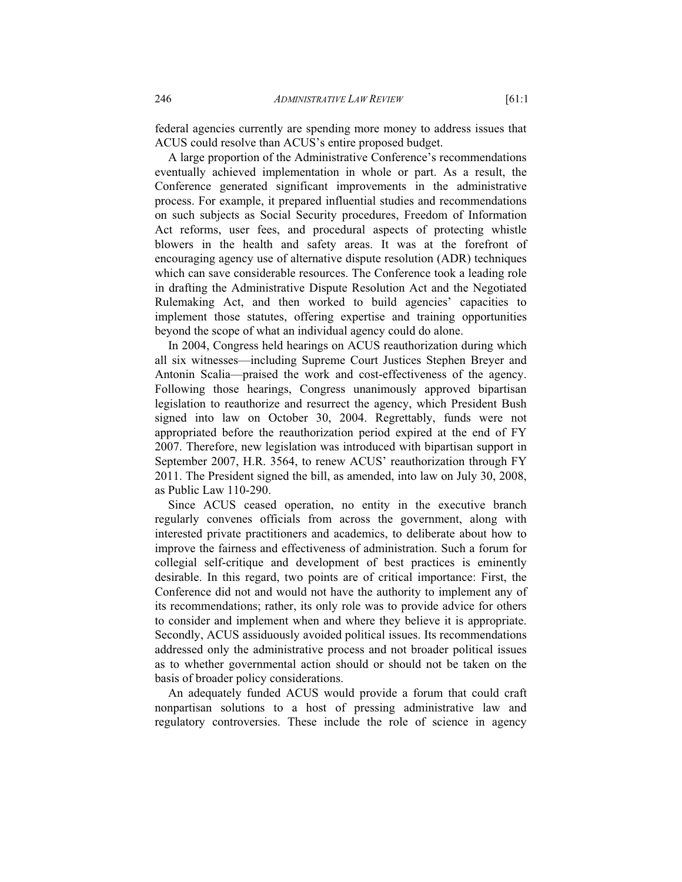federal agencies currently are spending more money to address issues that ACUS could resolve than ACUS's entire proposed budget.

A large proportion of the Administrative Conference's recommendations eventually achieved implementation in whole or part. As a result, the Conference generated significant improvements in the administrative process. For example, it prepared influential studies and recommendations on such subjects as Social Security procedures, Freedom of Information Act reforms, user fees, and procedural aspects of protecting whistle blowers in the health and safety areas. It was at the forefront of encouraging agency use of alternative dispute resolution (ADR) techniques which can save considerable resources. The Conference took a leading role in drafting the Administrative Dispute Resolution Act and the Negotiated Rulemaking Act, and then worked to build agencies' capacities to implement those statutes, offering expertise and training opportunities beyond the scope of what an individual agency could do alone.

In 2004, Congress held hearings on ACUS reauthorization during which all six witnesses—including Supreme Court Justices Stephen Breyer and Antonin Scalia—praised the work and cost-effectiveness of the agency. Following those hearings, Congress unanimously approved bipartisan legislation to reauthorize and resurrect the agency, which President Bush signed into law on October 30, 2004. Regrettably, funds were not appropriated before the reauthorization period expired at the end of FY 2007. Therefore, new legislation was introduced with bipartisan support in September 2007, H.R. 3564, to renew ACUS' reauthorization through FY 2011. The President signed the bill, as amended, into law on July 30, 2008, as Public Law 110-290.

Since ACUS ceased operation, no entity in the executive branch regularly convenes officials from across the government, along with interested private practitioners and academics, to deliberate about how to improve the fairness and effectiveness of administration. Such a forum for collegial self-critique and development of best practices is eminently desirable. In this regard, two points are of critical importance: First, the Conference did not and would not have the authority to implement any of its recommendations; rather, its only role was to provide advice for others to consider and implement when and where they believe it is appropriate. Secondly, ACUS assiduously avoided political issues. Its recommendations addressed only the administrative process and not broader political issues as to whether governmental action should or should not be taken on the basis of broader policy considerations.

An adequately funded ACUS would provide a forum that could craft nonpartisan solutions to a host of pressing administrative law and regulatory controversies. These include the role of science in agency